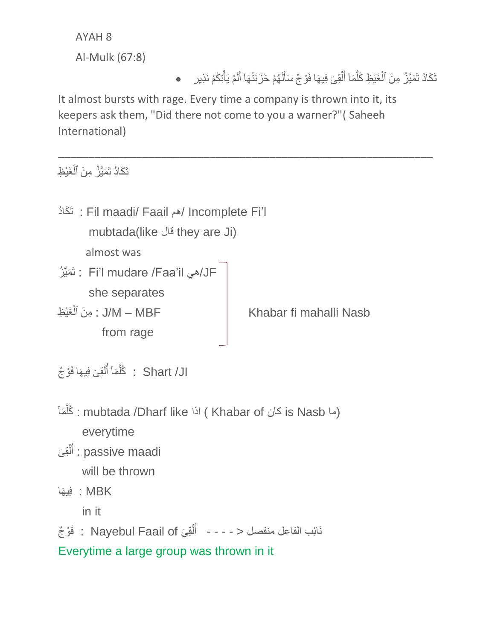AYAH 8

Al-Mulk (67:8)

## تَكَادُ تَمَيَّزُ مِنَ ٱلْغَيْظِ كُلَّمَاۤ أُلْقِىَ فِيهَا فَوْجٌ سَأَلَهُمْ خَزَنَتُهَآ أَلَمْ يَأْتِكُمْ نَذِير َّ ْ Í َ لَ َ

It almost bursts with rage. Every time a company is thrown into it, its keepers ask them, "Did there not come to you a warner?"( Saheeh International)

\_\_\_\_\_\_\_\_\_\_\_\_\_\_\_\_\_\_\_\_\_\_\_\_\_\_\_\_\_\_\_\_\_\_\_\_\_\_\_\_\_\_\_\_\_\_\_\_\_\_\_\_\_\_\_\_\_\_\_\_\_\_

تَكَادُ تَمَيَّزُ مِنَ ٱلْغَيْظِ ْ

| : تَكَادُ : Fil maadi/ Faail هم Incomplete Fi'l |                        |
|-------------------------------------------------|------------------------|
| mubtada(like فَال they are Ji)                  |                        |
| almost was                                      |                        |
| لَه Fi'l mudare /Faa'il : تَمَيَّزُ    :        |                        |
| she separates                                   |                        |
| J/M – MBF : مِنَ ٱلْغَيْظِ                      | Khabar fi mahalli Nasb |
| from rage                                       |                        |
|                                                 |                        |

ال/ Shart : كُلَّمَاۤ أَلْقِىَ فِيهَا فَوْجٌ َّ ْ Í

- خُلْمَا : mubtada /Dharf like اذا ) ( Ahabar of غُلَمَا َّ everytime
- َى ِق ل أ : passive maadi ْ Í will be thrown
- MBK : فِيهَا

in it

ْو ج َف : Nayebul Faail of ىَ ِق ل نَائِب الفاعل منفصل < - - - - أ ْ Í

Everytime a large group was thrown in it